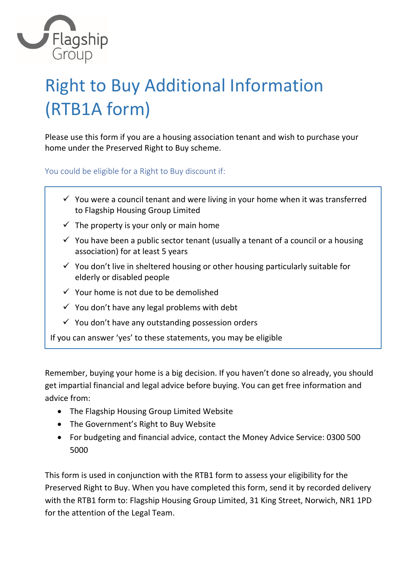

# Right to Buy Additional Information (RTB1A form)

Please use this form if you are a housing association tenant and wish to purchase your home under the Preserved Right to Buy scheme.

You could be eligible for a Right to Buy discount if:

- $\checkmark$  You were a council tenant and were living in your home when it was transferred to Flagship Housing Group Limited
- $\checkmark$  The property is your only or main home
- $\checkmark$  You have been a public sector tenant (usually a tenant of a council or a housing association) for at least 5 years
- $\checkmark$  You don't live in sheltered housing or other housing particularly suitable for elderly or disabled people
- $\checkmark$  Your home is not due to be demolished
- $\checkmark$  You don't have any legal problems with debt
- $\checkmark$  You don't have any outstanding possession orders

If you can answer 'yes' to these statements, you may be eligible

Remember, buying your home is a big decision. If you haven't done so already, you should get impartial financial and legal advice before buying. You can get free information and advice from:

- The Flagship Housing Group Limited Website
- The Government's Right to Buy Website
- For budgeting and financial advice, contact the Money Advice Service: 0300 500 5000

This form is used in conjunction with the RTB1 form to assess your eligibility for the Preserved Right to Buy. When you have completed this form, send it by recorded delivery with the RTB1 form to: Flagship Housing Group Limited, 31 King Street, Norwich, NR1 1PD for the attention of the Legal Team.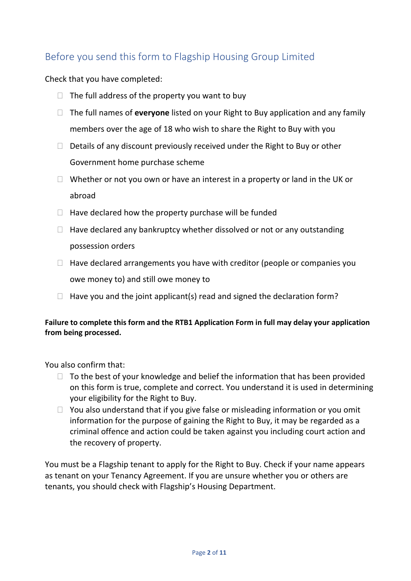## Before you send this form to Flagship Housing Group Limited

Check that you have completed:

- $\Box$  The full address of the property you want to buy
- The full names of **everyone** listed on your Right to Buy application and any family members over the age of 18 who wish to share the Right to Buy with you
- $\Box$  Details of any discount previously received under the Right to Buy or other Government home purchase scheme
- $\Box$  Whether or not you own or have an interest in a property or land in the UK or abroad
- $\Box$  Have declared how the property purchase will be funded
- $\Box$  Have declared any bankruptcy whether dissolved or not or any outstanding possession orders
- $\Box$  Have declared arrangements you have with creditor (people or companies you owe money to) and still owe money to
- $\Box$  Have you and the joint applicant(s) read and signed the declaration form?

#### **Failure to complete this form and the RTB1 Application Form in full may delay your application from being processed.**

You also confirm that:

- $\Box$  To the best of your knowledge and belief the information that has been provided on this form is true, complete and correct. You understand it is used in determining your eligibility for the Right to Buy.
- $\Box$  You also understand that if you give false or misleading information or you omit information for the purpose of gaining the Right to Buy, it may be regarded as a criminal offence and action could be taken against you including court action and the recovery of property.

You must be a Flagship tenant to apply for the Right to Buy. Check if your name appears as tenant on your Tenancy Agreement. If you are unsure whether you or others are tenants, you should check with Flagship's Housing Department.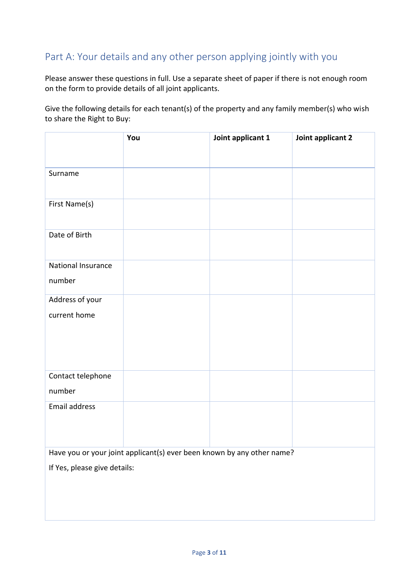### Part A: Your details and any other person applying jointly with you

Please answer these questions in full. Use a separate sheet of paper if there is not enough room on the form to provide details of all joint applicants.

Give the following details for each tenant(s) of the property and any family member(s) who wish to share the Right to Buy:

|                              | You                                                                    | Joint applicant 1 | Joint applicant 2 |
|------------------------------|------------------------------------------------------------------------|-------------------|-------------------|
|                              |                                                                        |                   |                   |
| Surname                      |                                                                        |                   |                   |
|                              |                                                                        |                   |                   |
| First Name(s)                |                                                                        |                   |                   |
|                              |                                                                        |                   |                   |
| Date of Birth                |                                                                        |                   |                   |
|                              |                                                                        |                   |                   |
| National Insurance           |                                                                        |                   |                   |
| number                       |                                                                        |                   |                   |
| Address of your              |                                                                        |                   |                   |
| current home                 |                                                                        |                   |                   |
|                              |                                                                        |                   |                   |
|                              |                                                                        |                   |                   |
|                              |                                                                        |                   |                   |
| Contact telephone            |                                                                        |                   |                   |
| number                       |                                                                        |                   |                   |
| Email address                |                                                                        |                   |                   |
|                              |                                                                        |                   |                   |
|                              |                                                                        |                   |                   |
|                              | Have you or your joint applicant(s) ever been known by any other name? |                   |                   |
| If Yes, please give details: |                                                                        |                   |                   |
|                              |                                                                        |                   |                   |
|                              |                                                                        |                   |                   |
|                              |                                                                        |                   |                   |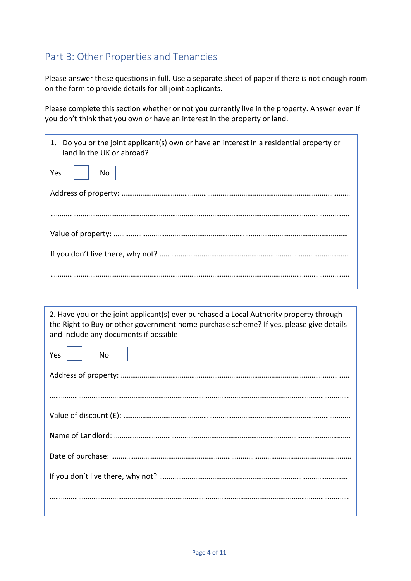### Part B: Other Properties and Tenancies

Please answer these questions in full. Use a separate sheet of paper if there is not enough room on the form to provide details for all joint applicants.

Please complete this section whether or not you currently live in the property. Answer even if you don't think that you own or have an interest in the property or land.

| 1. Do you or the joint applicant(s) own or have an interest in a residential property or<br>land in the UK or abroad? |  |
|-----------------------------------------------------------------------------------------------------------------------|--|
| $No$  <br>Yes                                                                                                         |  |
|                                                                                                                       |  |
|                                                                                                                       |  |
|                                                                                                                       |  |
|                                                                                                                       |  |
|                                                                                                                       |  |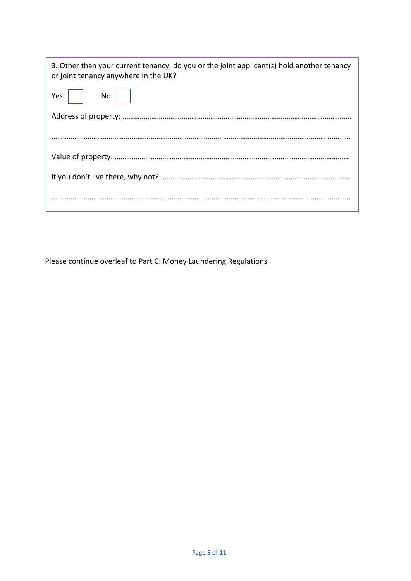| 3. Other than your current tenancy, do you or the joint applicant(s) hold another tenancy<br>or joint tenancy anywhere in the UK? |  |
|-----------------------------------------------------------------------------------------------------------------------------------|--|
| <b>Yes</b><br>No l                                                                                                                |  |
|                                                                                                                                   |  |
|                                                                                                                                   |  |
|                                                                                                                                   |  |
|                                                                                                                                   |  |
|                                                                                                                                   |  |

Please continue overleaf to Part C: Money Laundering Regulations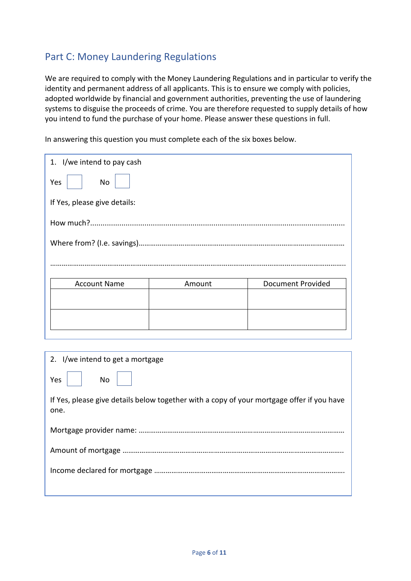## Part C: Money Laundering Regulations

We are required to comply with the Money Laundering Regulations and in particular to verify the identity and permanent address of all applicants. This is to ensure we comply with policies, adopted worldwide by financial and government authorities, preventing the use of laundering systems to disguise the proceeds of crime. You are therefore requested to supply details of how you intend to fund the purchase of your home. Please answer these questions in full.

In answering this question you must complete each of the six boxes below.

| 1. I/we intend to pay cash   |                          |  |
|------------------------------|--------------------------|--|
|                              |                          |  |
| If Yes, please give details: |                          |  |
|                              |                          |  |
|                              |                          |  |
|                              |                          |  |
| Amount                       | <b>Document Provided</b> |  |
|                              |                          |  |
|                              |                          |  |
|                              |                          |  |

| 2. I/we intend to get a mortgage                                                                  |  |
|---------------------------------------------------------------------------------------------------|--|
| No<br>Yes                                                                                         |  |
| If Yes, please give details below together with a copy of your mortgage offer if you have<br>one. |  |
|                                                                                                   |  |
|                                                                                                   |  |
|                                                                                                   |  |
|                                                                                                   |  |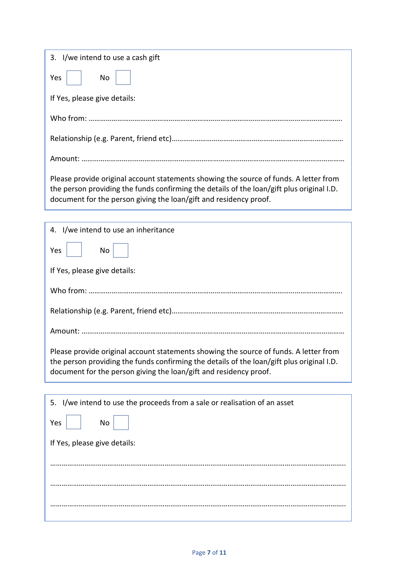| 3. I/we intend to use a cash gift                                                                                                                                                                                                                       |  |
|---------------------------------------------------------------------------------------------------------------------------------------------------------------------------------------------------------------------------------------------------------|--|
| Yes<br>No                                                                                                                                                                                                                                               |  |
| If Yes, please give details:                                                                                                                                                                                                                            |  |
|                                                                                                                                                                                                                                                         |  |
|                                                                                                                                                                                                                                                         |  |
|                                                                                                                                                                                                                                                         |  |
| Please provide original account statements showing the source of funds. A letter from<br>the person providing the funds confirming the details of the loan/gift plus original I.D.<br>document for the person giving the loan/gift and residency proof. |  |

| 4. I/we intend to use an inheritance                                                                                                                                                                                                                    |  |
|---------------------------------------------------------------------------------------------------------------------------------------------------------------------------------------------------------------------------------------------------------|--|
| Yes<br>No                                                                                                                                                                                                                                               |  |
| If Yes, please give details:                                                                                                                                                                                                                            |  |
|                                                                                                                                                                                                                                                         |  |
|                                                                                                                                                                                                                                                         |  |
| Amount:                                                                                                                                                                                                                                                 |  |
| Please provide original account statements showing the source of funds. A letter from<br>the person providing the funds confirming the details of the loan/gift plus original I.D.<br>document for the person giving the loan/gift and residency proof. |  |

| 5. I/we intend to use the proceeds from a sale or realisation of an asset |  |
|---------------------------------------------------------------------------|--|
| No<br>Yes                                                                 |  |
| If Yes, please give details:                                              |  |
|                                                                           |  |
|                                                                           |  |
|                                                                           |  |
|                                                                           |  |
|                                                                           |  |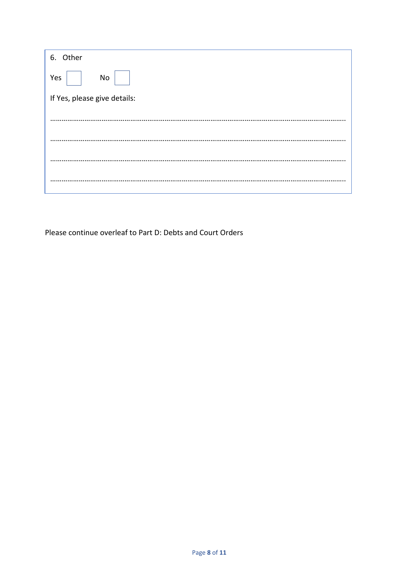| 6. Other                     |  |
|------------------------------|--|
| Yes<br>No                    |  |
| If Yes, please give details: |  |
|                              |  |
|                              |  |
|                              |  |
|                              |  |
|                              |  |
|                              |  |

Please continue overleaf to Part D: Debts and Court Orders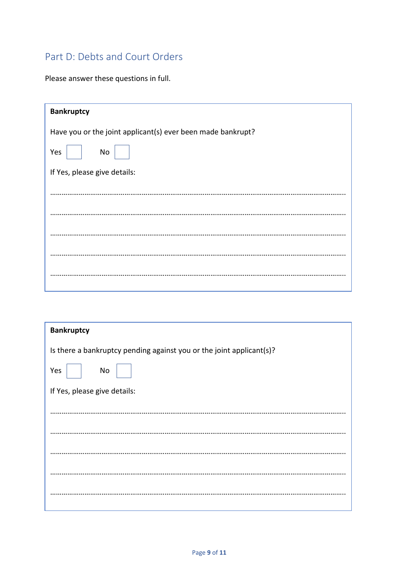### Part D: Debts and Court Orders

Please answer these questions in full.

| <b>Bankruptcy</b>                                           |  |
|-------------------------------------------------------------|--|
| Have you or the joint applicant(s) ever been made bankrupt? |  |
| Yes<br>No                                                   |  |
| If Yes, please give details:                                |  |
|                                                             |  |
|                                                             |  |
|                                                             |  |
|                                                             |  |
|                                                             |  |

| <b>Bankruptcy</b>                                                    |  |
|----------------------------------------------------------------------|--|
| Is there a bankruptcy pending against you or the joint applicant(s)? |  |
| No<br>Yes                                                            |  |
| If Yes, please give details:                                         |  |
|                                                                      |  |
|                                                                      |  |
|                                                                      |  |
|                                                                      |  |
|                                                                      |  |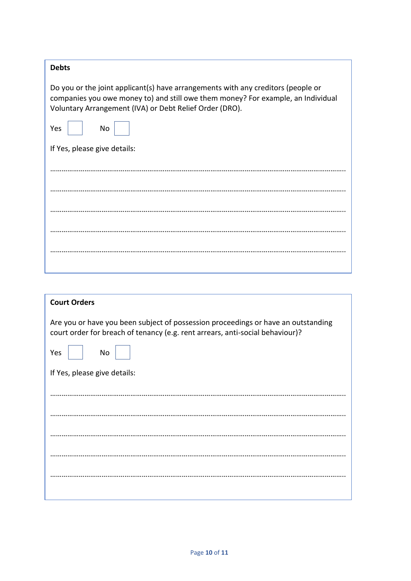| <b>Debts</b>                                                                                                                                                                                                                    |  |  |
|---------------------------------------------------------------------------------------------------------------------------------------------------------------------------------------------------------------------------------|--|--|
| Do you or the joint applicant(s) have arrangements with any creditors (people or<br>companies you owe money to) and still owe them money? For example, an Individual<br>Voluntary Arrangement (IVA) or Debt Relief Order (DRO). |  |  |
| Yes<br>No                                                                                                                                                                                                                       |  |  |
| If Yes, please give details:                                                                                                                                                                                                    |  |  |
|                                                                                                                                                                                                                                 |  |  |
|                                                                                                                                                                                                                                 |  |  |
|                                                                                                                                                                                                                                 |  |  |
|                                                                                                                                                                                                                                 |  |  |
|                                                                                                                                                                                                                                 |  |  |
|                                                                                                                                                                                                                                 |  |  |
|                                                                                                                                                                                                                                 |  |  |

| <b>Court Orders</b>                                                                                                                                                |  |  |
|--------------------------------------------------------------------------------------------------------------------------------------------------------------------|--|--|
| Are you or have you been subject of possession proceedings or have an outstanding<br>court order for breach of tenancy (e.g. rent arrears, anti-social behaviour)? |  |  |
| Yes<br>No                                                                                                                                                          |  |  |
| If Yes, please give details:                                                                                                                                       |  |  |
|                                                                                                                                                                    |  |  |
|                                                                                                                                                                    |  |  |
|                                                                                                                                                                    |  |  |
|                                                                                                                                                                    |  |  |
|                                                                                                                                                                    |  |  |